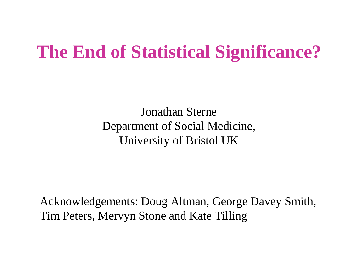#### **The End of Statistical Significance?**

Jonathan Sterne Department of Social Medicine, University of Bristol UK

Acknowledgements: Doug Altman, George Davey Smith, Tim Peters, Mervyn Stone and Kate Tilling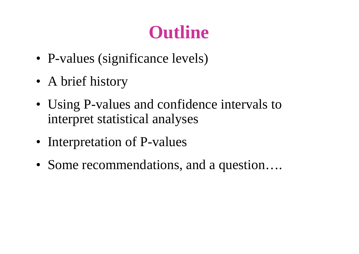# **Outline**

- P-values (significance levels)
- A brief history
- Using P-values and confidence intervals to interpret statistical analyses
- Interpretation of P-values
- Some recommendations, and a question....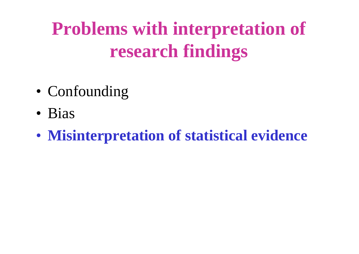# **Problems with interpretation of research findings**

- Confounding
- Bias
- **Misinterpretation of statistical evidence**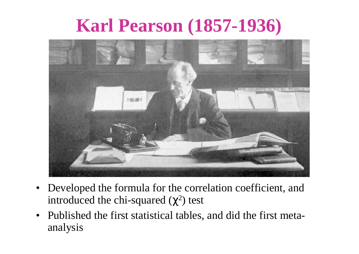### **Karl Pearson (1857-1936)**



- Developed the formula for the correlation coefficient, and introduced the chi-squared  $(\chi^2)$  test
- Published the first statistical tables, and did the first metaanalysis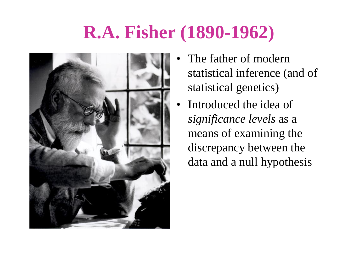# **R.A. Fisher (1890-1962)**



- The father of modern statistical inference (and of statistical genetics)
- Introduced the idea of *significance levels* as a means of examining the discrepancy between the data and a null hypothesis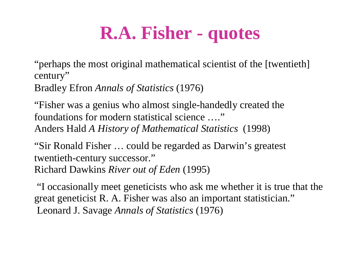# **R.A. Fisher - quotes**

"perhaps the most original mathematical scientist of the [twentieth] century"

Bradley Efron *Annals of Statistics* (1976)

"Fisher was a genius who almost single-handedly created the foundations for modern statistical science …." Anders Hald *A History of Mathematical Statistics* (1998)

"Sir Ronald Fisher … could be regarded as Darwin's greatest twentieth-century successor." Richard Dawkins *River out of Eden* (1995)

"I occasionally meet geneticists who ask me whether it is true that the great geneticist R. A. Fisher was also an important statistician." Leonard J. Savage *Annals of Statistics* (1976)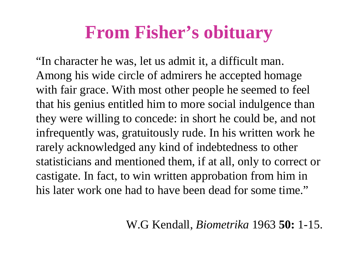#### **From Fisher's obituary**

"In character he was, let us admit it, a difficult man. Among his wide circle of admirers he accepted homage with fair grace. With most other people he seemed to feel that his genius entitled him to more social indulgence than they were willing to concede: in short he could be, and not infrequently was, gratuitously rude. In his written work he rarely acknowledged any kind of indebtedness to other statisticians and mentioned them, if at all, only to correct or castigate. In fact, to win written approbation from him in his later work one had to have been dead for some time."

W.G Kendall, *Biometrika* 1963 **50:** 1-15.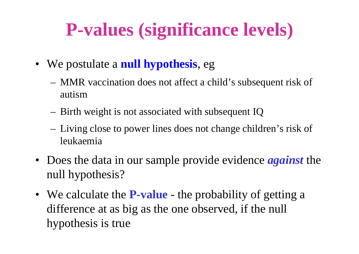# **P-values (significance levels)**

- We postulate a **null hypothesis**, eg
	- MMR vaccination does not affect a child's subsequent risk of autism
	- Birth weight is not associated with subsequent IQ
	- Living close to power lines does not change children's risk of leukaemia
- Does the data in our sample provide evidence *against* the null hypothesis?
- We calculate the **P-value** the probability of getting a difference at as big as the one observed, if the null hypothesis is true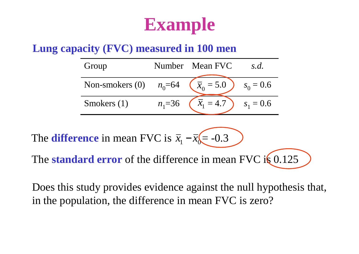#### **Example**

#### **Lung capacity (FVC) measured in 100 men**

| Group                     |            | Number Mean FVC    | S.d.        |
|---------------------------|------------|--------------------|-------------|
| Non-smokers (0) $n_0$ =64 |            | $\sqrt{x_0} = 5.0$ | $s_0 = 0.6$ |
| Smokers $(1)$             | $n_1 = 36$ | $x_1 = 4.7$        | $s_1 = 0.6$ |

The **standard error** of the difference in mean FVC is 0.125 The **difference** in mean FVC is  $\bar{x}_1 - \bar{x}_0 = -0.3$ 

Does this study provides evidence against the null hypothesis that, in the population, the difference in mean FVC is zero?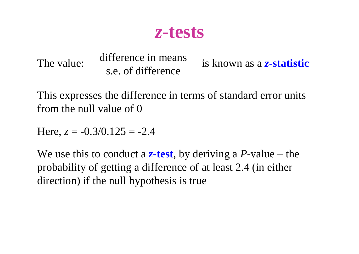*z***-tests**

The value: <u>unitative</u> in intense is known as a *z*-statistic s.e. of difference difference in means

This expresses the difference in terms of standard error units from the null value of 0

Here,  $z = -0.3/0.125 = -2.4$ 

We use this to conduct a *z***-test**, by deriving a *P*-value – the probability of getting a difference of at least 2.4 (in either direction) if the null hypothesis is true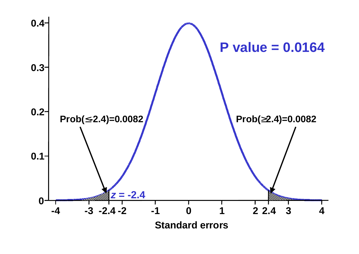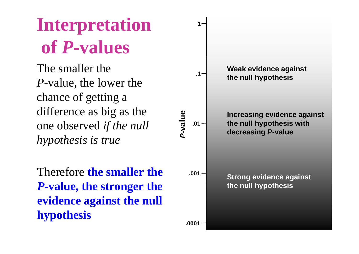The smaller the *P*-value, the lower the chance of getting a difference as big as the one observed *if the null hypothesis is true*

Therefore **the smaller the**  *P***-value, the stronger the evidence against the null hypothesis**

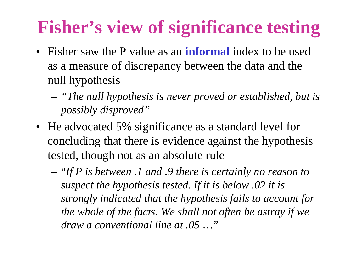# **Fisher's view of significance testing**

- Fisher saw the P value as an **informal** index to be used as a measure of discrepancy between the data and the null hypothesis
	- *"The null hypothesis is never proved or established, but is possibly disproved"*
- He advocated 5% significance as a standard level for concluding that there is evidence against the hypothesis tested, though not as an absolute rule
	- "*If P is between .1 and .9 there is certainly no reason to suspect the hypothesis tested. If it is below .02 it is strongly indicated that the hypothesis fails to account for the whole of the facts. We shall not often be astray if we draw a conventional line at .05* …"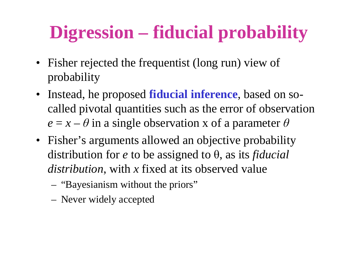# **Digression – fiducial probability**

- Fisher rejected the frequentist (long run) view of probability
- Instead, he proposed **fiducial inference**, based on socalled pivotal quantities such as the error of observation  $e = x - \theta$  in a single observation x of a parameter  $\theta$
- Fisher's arguments allowed an objective probability distribution for *e* to be assigned to θ, as its *fiducial distribution*, with *x* fixed at its observed value
	- "Bayesianism without the priors"
	- Never widely accepted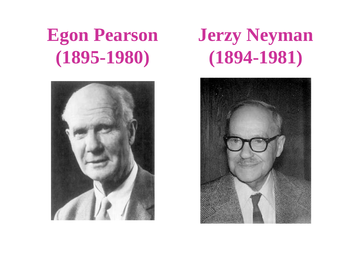# **Egon Pearson (1895-1980)**



# **Jerzy Neyman (1894-1981)**

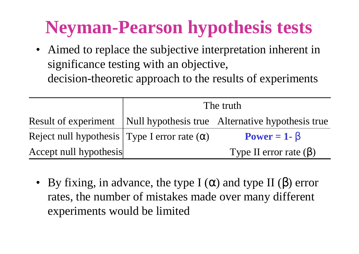# **Neyman-Pearson hypothesis tests**

• Aimed to replace the subjective interpretation inherent in significance testing with an objective, decision-theoretic approach to the results of experiments

|                                                       | The truth |                                                                         |  |
|-------------------------------------------------------|-----------|-------------------------------------------------------------------------|--|
|                                                       |           | Result of experiment   Null hypothesis true Alternative hypothesis true |  |
| Reject null hypothesis   Type I error rate $(\alpha)$ |           | $Power = 1 - b$                                                         |  |
| Accept null hypothesis                                |           | Type II error rate $(\beta)$                                            |  |

• By fixing, in advance, the type I  $(\alpha)$  and type II  $(\beta)$  error rates, the number of mistakes made over many different experiments would be limited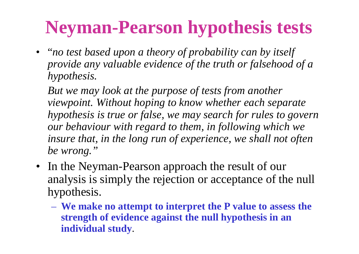# **Neyman-Pearson hypothesis tests**

• "*no test based upon a theory of probability can by itself provide any valuable evidence of the truth or falsehood of a hypothesis.*

*But we may look at the purpose of tests from another viewpoint. Without hoping to know whether each separate hypothesis is true or false, we may search for rules to govern our behaviour with regard to them, in following which we insure that, in the long run of experience, we shall not often be wrong."*

- In the Neyman-Pearson approach the result of our analysis is simply the rejection or acceptance of the null hypothesis.
	- **We make no attempt to interpret the P value to assess the strength of evidence against the null hypothesis in an individual study**.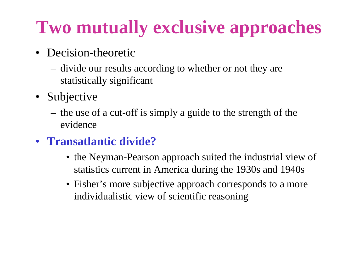# **Two mutually exclusive approaches**

- Decision-theoretic
	- divide our results according to whether or not they are statistically significant
- Subjective
	- the use of a cut-off is simply a guide to the strength of the evidence
- **Transatlantic divide?**
	- the Neyman-Pearson approach suited the industrial view of statistics current in America during the 1930s and 1940s
	- Fisher's more subjective approach corresponds to a more individualistic view of scientific reasoning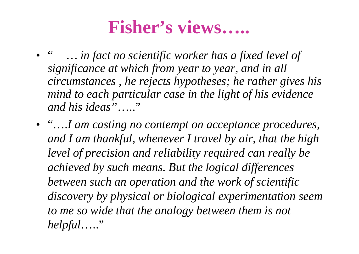#### **Fisher's views…..**

- " *… in fact no scientific worker has a fixed level of significance at which from year to year, and in all circumstances , he rejects hypotheses; he rather gives his mind to each particular case in the light of his evidence and his ideas"*….."
- "….*I am casting no contempt on acceptance procedures, and I am thankful, whenever I travel by air, that the high level of precision and reliability required can really be achieved by such means. But the logical differences between such an operation and the work of scientific discovery by physical or biological experimentation seem to me so wide that the analogy between them is not helpful*….."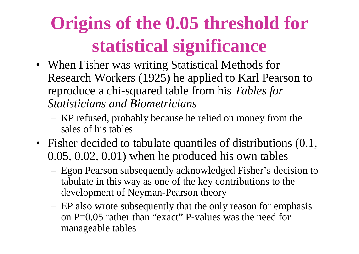# **Origins of the 0.05 threshold for statistical significance**

- When Fisher was writing Statistical Methods for Research Workers (1925) he applied to Karl Pearson to reproduce a chi-squared table from his *Tables for Statisticians and Biometricians*
	- KP refused, probably because he relied on money from the sales of his tables
- Fisher decided to tabulate quantiles of distributions  $(0.1, 1.1)$ 0.05, 0.02, 0.01) when he produced his own tables
	- Egon Pearson subsequently acknowledged Fisher's decision to tabulate in this way as one of the key contributions to the development of Neyman-Pearson theory
	- EP also wrote subsequently that the only reason for emphasis on P=0.05 rather than "exact" P-values was the need for manageable tables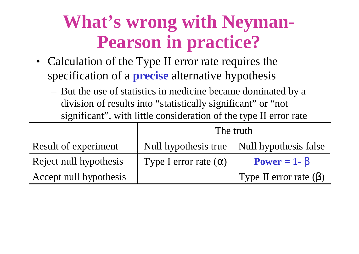# **What's wrong with Neyman-Pearson in practice?**

- Calculation of the Type II error rate requires the specification of a **precise** alternative hypothesis
	- But the use of statistics in medicine became dominated by a division of results into "statistically significant" or "not significant" , with little consideration of the type II error rate

|                        | The truth                    |                                            |  |
|------------------------|------------------------------|--------------------------------------------|--|
| Result of experiment   |                              | Null hypothesis true Null hypothesis false |  |
| Reject null hypothesis | Type I error rate $(\alpha)$ | Power = $1 - b$                            |  |
| Accept null hypothesis |                              | Type II error rate $(\beta)$               |  |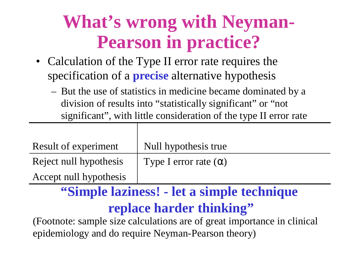# **What's wrong with Neyman-Pearson in practice?**

- Calculation of the Type II error rate requires the specification of a **precise** alternative hypothesis
	- But the use of statistics in medicine became dominated by a division of results into "statistically significant" or "not significant" , with little consideration of the type II error rate

| Result of experiment   | Null hypothesis true         |
|------------------------|------------------------------|
| Reject null hypothesis | Type I error rate $(\alpha)$ |
| Accept null hypothesis |                              |

#### **"Simple laziness! - let a simple technique replace harder thinking"**

(Footnote: sample size calculations are of great importance in clinical epidemiology and do require Neyman-Pearson theory)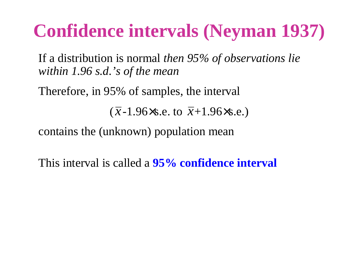### **Confidence intervals (Neyman 1937)**

If a distribution is normal *then 95% of observations lie within 1.96 s.d.'s of the mean*

Therefore, in 95% of samples, the interval

 $(\bar{x}$ -1.96×s.e. to  $\bar{x}$ +1.96×s.e.)

contains the (unknown) population mean

This interval is called a **95% confidence interval**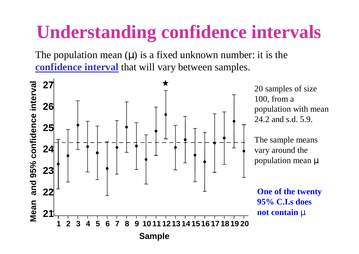# **Understanding confidence intervals**

The population mean (*m*) is a fixed unknown number: it is the **confidence interval** that will vary between samples.

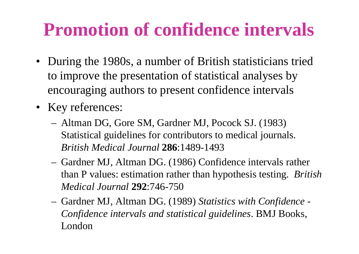#### **Promotion of confidence intervals**

- During the 1980s, a number of British statisticians tried to improve the presentation of statistical analyses by encouraging authors to present confidence intervals
- Key references:
	- Altman DG, Gore SM, Gardner MJ, Pocock SJ. (1983) Statistical guidelines for contributors to medical journals. *British Medical Journal* **286**:1489-1493
	- Gardner MJ, Altman DG. (1986) Confidence intervals rather than P values: estimation rather than hypothesis testing. *British Medical Journal* **292**:746-750
	- Gardner MJ, Altman DG. (1989) *Statistics with Confidence - Confidence intervals and statistical guidelines*. BMJ Books, London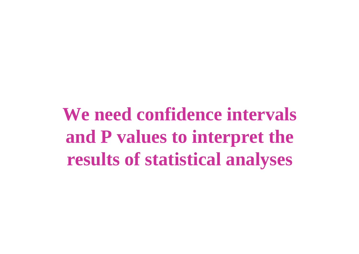**We need confidence intervals and P values to interpret the results of statistical analyses**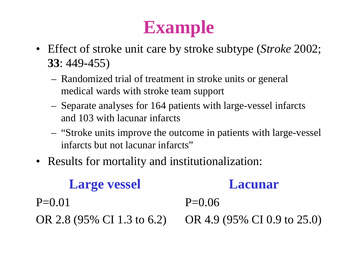# **Example**

- Effect of stroke unit care by stroke subtype (*Stroke* 2002; **33**: 449-455)
	- Randomized trial of treatment in stroke units or general medical wards with stroke team support
	- Separate analyses for 164 patients with large-vessel infarcts and 103 with lacunar infarcts
	- "Stroke units improve the outcome in patients with large-vessel infarcts but not lacunar infarcts"
- Results for mortality and institutionalization:

OR 2.8 (95% CI 1.3 to 6.2) OR 4.9 (95% CI 0.9 to 25.0) **Large vessel**  $P=0.01$ **Lacunar**  $P=0.06$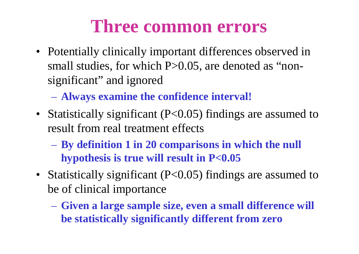#### **Three common errors**

- Potentially clinically important differences observed in small studies, for which P>0.05, are denoted as "nonsignificant" and ignored
	- **Always examine the confidence interval!**
- Statistically significant (P<0.05) findings are assumed to result from real treatment effects
	- **By definition 1 in 20 comparisons in which the null hypothesis is true will result in P<0.05**
- Statistically significant (P<0.05) findings are assumed to be of clinical importance
	- **Given a large sample size, even a small difference will be statistically significantly different from zero**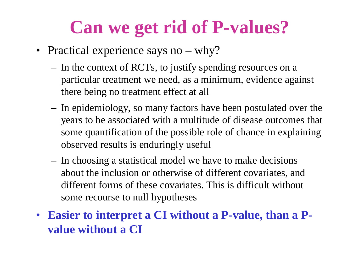### **Can we get rid of P-values?**

- Practical experience says no why?
	- In the context of RCTs, to justify spending resources on a particular treatment we need, as a minimum, evidence against there being no treatment effect at all
	- In epidemiology, so many factors have been postulated over the years to be associated with a multitude of disease outcomes that some quantification of the possible role of chance in explaining observed results is enduringly useful
	- In choosing a statistical model we have to make decisions about the inclusion or otherwise of different covariates, and different forms of these covariates. This is difficult without some recourse to null hypotheses
- **Easier to interpret a CI without a P-value, than a Pvalue without a CI**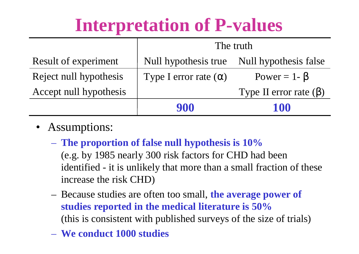|                             | The truth                                  |                              |  |
|-----------------------------|--------------------------------------------|------------------------------|--|
| <b>Result of experiment</b> | Null hypothesis true Null hypothesis false |                              |  |
| Reject null hypothesis      | Type I error rate $(\alpha)$               | Power = $1 - \beta$          |  |
| Accept null hypothesis      |                                            | Type II error rate $(\beta)$ |  |
|                             | 900                                        | 100                          |  |

- Assumptions:
	- **The proportion of false null hypothesis is 10%**
		- (e.g. by 1985 nearly 300 risk factors for CHD had been identified - it is unlikely that more than a small fraction of these increase the risk CHD)
	- Because studies are often too small, **the average power of studies reported in the medical literature is 50%** (this is consistent with published surveys of the size of trials)
	- **We conduct 1000 studies**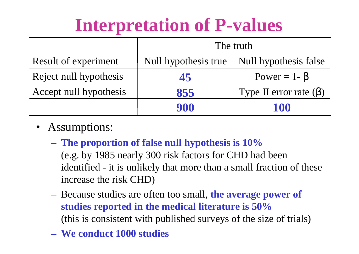|                        | The truth                                     |                              |  |
|------------------------|-----------------------------------------------|------------------------------|--|
| Result of experiment   | Null hypothesis true<br>Null hypothesis false |                              |  |
| Reject null hypothesis | 45                                            | Power = $1 - \beta$          |  |
| Accept null hypothesis | 855                                           | Type II error rate $(\beta)$ |  |
|                        | 900                                           | 100                          |  |

- Assumptions:
	- **The proportion of false null hypothesis is 10%**

(e.g. by 1985 nearly 300 risk factors for CHD had been identified - it is unlikely that more than a small fraction of these increase the risk CHD)

- Because studies are often too small, **the average power of studies reported in the medical literature is 50%** (this is consistent with published surveys of the size of trials)
- **We conduct 1000 studies**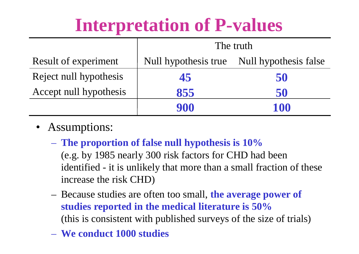|                        | The truth                                  |     |  |
|------------------------|--------------------------------------------|-----|--|
| Result of experiment   | Null hypothesis true Null hypothesis false |     |  |
| Reject null hypothesis | 45                                         | 50  |  |
| Accept null hypothesis | 855                                        | 50  |  |
|                        | 900                                        | 100 |  |

- Assumptions:
	- **The proportion of false null hypothesis is 10%**
		- (e.g. by 1985 nearly 300 risk factors for CHD had been identified - it is unlikely that more than a small fraction of these increase the risk CHD)
	- Because studies are often too small, **the average power of studies reported in the medical literature is 50%** (this is consistent with published surveys of the size of trials)
	- **We conduct 1000 studies**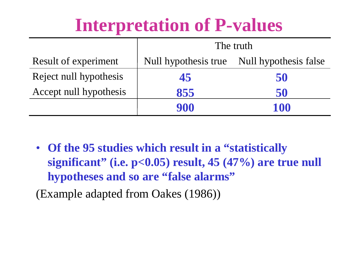|                             | The truth                                  |     |  |
|-----------------------------|--------------------------------------------|-----|--|
| <b>Result of experiment</b> | Null hypothesis true Null hypothesis false |     |  |
| Reject null hypothesis      | 45                                         | 50  |  |
| Accept null hypothesis      | 855                                        | 50  |  |
|                             | 900                                        | 100 |  |

• **Of the 95 studies which result in a "statistically significant" (i.e. p<0.05) result, 45 (47%) are true null hypotheses and so are "false alarms"**

(Example adapted from Oakes (1986))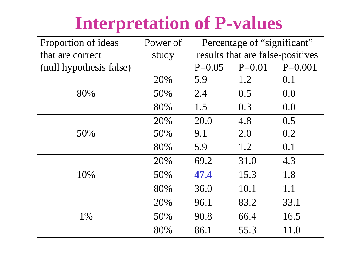| Proportion of ideas     | Power of | Percentage of "significant"      |          |           |
|-------------------------|----------|----------------------------------|----------|-----------|
| that are correct        | study    | results that are false-positives |          |           |
| (null hypothesis false) |          | $P=0.05$                         | $P=0.01$ | $P=0.001$ |
|                         | 20%      | 5.9                              | 1.2      | 0.1       |
| 80%                     | 50%      | 2.4                              | 0.5      | 0.0       |
|                         | 80%      | 1.5                              | 0.3      | 0.0       |
|                         | 20%      | 20.0                             | 4.8      | 0.5       |
| 50%                     | 50%      | 9.1                              | 2.0      | 0.2       |
|                         | 80%      | 5.9                              | 1.2      | 0.1       |
| 10%                     | 20%      | 69.2                             | 31.0     | 4.3       |
|                         | 50%      | 47.4                             | 15.3     | 1.8       |
|                         | 80%      | 36.0                             | 10.1     | 1.1       |
| 1%                      | 20%      | 96.1                             | 83.2     | 33.1      |
|                         | 50%      | 90.8                             | 66.4     | 16.5      |
|                         | 80%      | 86.1                             | 55.3     | 11.0      |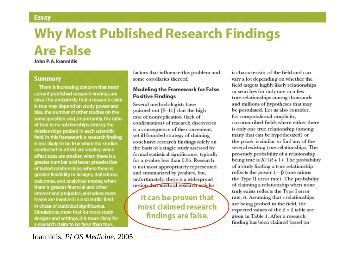#### **Why Most Published Research Findings Are False**

#### John P. A. Joannidis

#### **Summary**

There is increasing concern that most current published research findings are false. The probability that a research claim is true may depend on study power and bias, the number of other studies on the same question, and, importantly, the ratio of true to no relationships among the relationships probed in each scientific field. In this framework, a research finding is less likely to be true when the studies conducted in a field are smaller; when effect sizes are smaller; when there is a greater number and lesser preselection of tested relationships; where there is greater flexibility in designs, definitions, outcomes, and analytical modes; when there is greater financial and other interest and prejudice; and when more teams are involved in a scientific field in chase of statistical significance. Simulations show that for most study designs and settings, it is more likely for a research claim to be false than true.

factors that influence this problem and some corollaries thereof.

#### **Modeling the Framework for False Positive Findinas**

Several methodologists have pointed out [9-11] that the high rate of nonreplication (lack of confirmation) of research discoveries is a consequence of the convenient, yet ill-founded strategy of claiming conclusive research findings solely on the basis of a single study assessed by formal statistical significance, typically for a p-value less than 0.05. Research is not most appropriately represented and summarized by p values, but, unfortunately, there is a widespread notion that medical research asticles

It can be proven that most claimed research findings are false.

is characteristic of the field and canvary a lot depending on whether the field targets highly likely relationships or searches for only one or a few true relationships among thousands and millions of hypotheses that may be postulated. Let us also consider, for computational simplicity, circumscribed fields where either there is only one true relationship (among many that can be hypothesized) or the power is similar to find any of the several existing true relationships. The pre-study probability of a relationship being true is  $R/(R+1)$ . The probability of a study finding a true relationship reflects the power  $1 - \beta$  (one minus the Type II error rate). The probability of claiming a relationship when none truly exists reflects the Type I error rate,  $\alpha$ . Assuming that  $c$  relationships are being probed in the field, the expected values of the  $2 \times 2$  table are given in Table 1. After a research finding has been claimed based on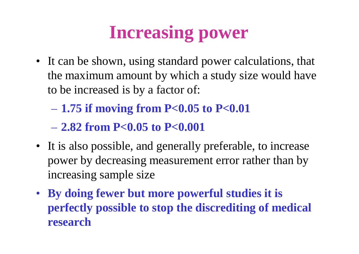# **Increasing power**

- It can be shown, using standard power calculations, that the maximum amount by which a study size would have to be increased is by a factor of:
	- **1.75 if moving from P<0.05 to P<0.01**

– **2.82 from P<0.05 to P<0.001**

- It is also possible, and generally preferable, to increase power by decreasing measurement error rather than by increasing sample size
- **By doing fewer but more powerful studies it is perfectly possible to stop the discrediting of medical research**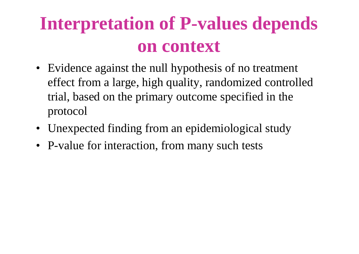# **Interpretation of P-values depends on context**

- Evidence against the null hypothesis of no treatment effect from a large, high quality, randomized controlled trial, based on the primary outcome specified in the protocol
- Unexpected finding from an epidemiological study
- P-value for interaction, from many such tests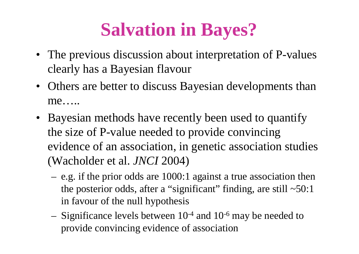# **Salvation in Bayes?**

- The previous discussion about interpretation of P-values clearly has a Bayesian flavour
- Others are better to discuss Bayesian developments than me…..
- Bayesian methods have recently been used to quantify the size of P-value needed to provide convincing evidence of an association, in genetic association studies (Wacholder et al. *JNCI* 2004)
	- e.g. if the prior odds are 1000:1 against a true association then the posterior odds, after a "significant" finding, are still  $\sim 50:1$ in favour of the null hypothesis
	- Significance levels between  $10^{-4}$  and  $10^{-6}$  may be needed to provide convincing evidence of association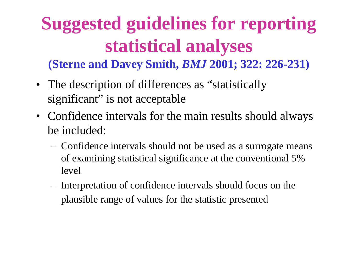#### **Suggested guidelines for reporting statistical analyses (Sterne and Davey Smith,** *BMJ* **2001; 322: 226-231)**

- The description of differences as "statistically significant" is not acceptable
- Confidence intervals for the main results should always be included:
	- Confidence intervals should not be used as a surrogate means of examining statistical significance at the conventional 5% level
	- Interpretation of confidence intervals should focus on the plausible range of values for the statistic presented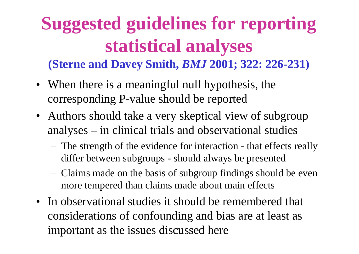#### **Suggested guidelines for reporting statistical analyses (Sterne and Davey Smith,** *BMJ* **2001; 322: 226-231)**

- When there is a meaningful null hypothesis, the corresponding P-value should be reported
- Authors should take a very skeptical view of subgroup analyses – in clinical trials and observational studies
	- The strength of the evidence for interaction that effects really differ between subgroups - should always be presented
	- Claims made on the basis of subgroup findings should be even more tempered than claims made about main effects
- In observational studies it should be remembered that considerations of confounding and bias are at least as important as the issues discussed here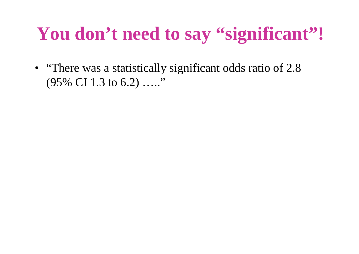# **You don't need to say "significant"!**

• "There was a statistically significant odds ratio of 2.8 (95% CI 1.3 to 6.2) ….."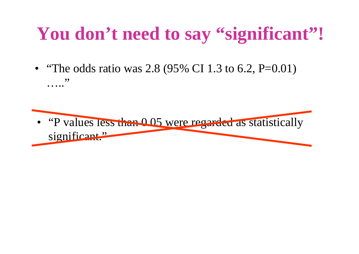# **You don't need to say "significant"!**

• "The odds ratio was 2.8 (95% CI 1.3 to 6.2, P=0.01) ….."

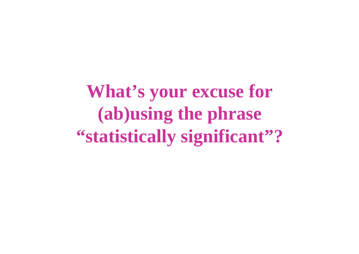**What's your excuse for (ab)using the phrase "statistically significant"?**